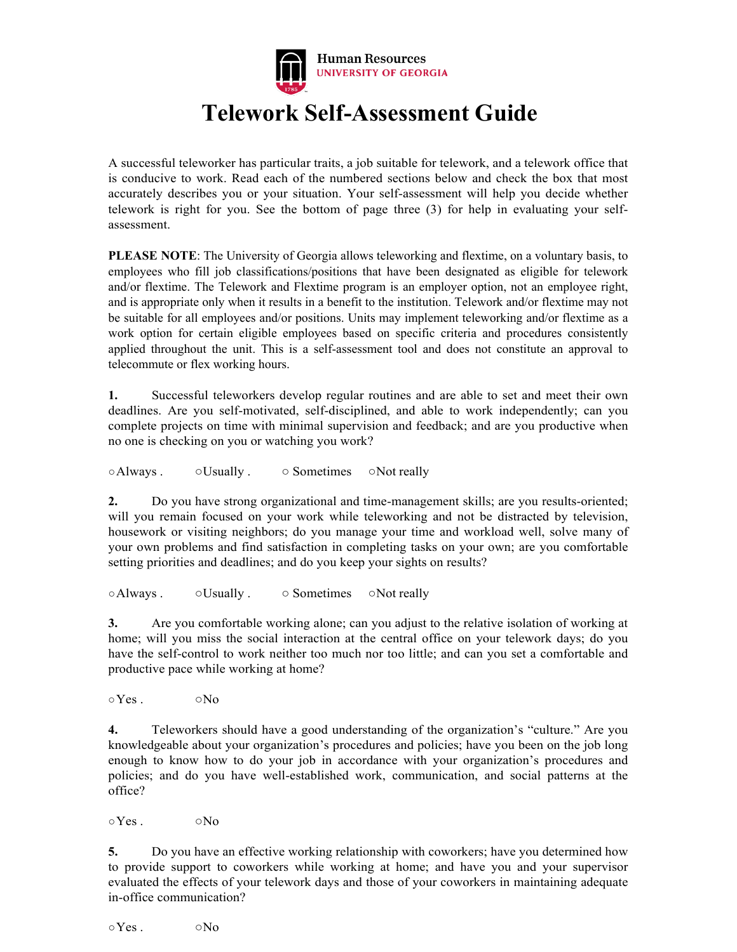

# **Telework Self-Assessment Guide**

A successful teleworker has particular traits, a job suitable for telework, and a telework office that is conducive to work. Read each of the numbered sections below and check the box that most accurately describes you or your situation. Your self-assessment will help you decide whether telework is right for you. See the bottom of page three (3) for help in evaluating your selfassessment.

**PLEASE NOTE**: The University of Georgia allows teleworking and flextime, on a voluntary basis, to employees who fill job classifications/positions that have been designated as eligible for telework and/or flextime. The Telework and Flextime program is an employer option, not an employee right, and is appropriate only when it results in a benefit to the institution. Telework and/or flextime may not be suitable for all employees and/or positions. Units may implement teleworking and/or flextime as a work option for certain eligible employees based on specific criteria and procedures consistently applied throughout the unit. This is a self-assessment tool and does not constitute an approval to telecommute or flex working hours.

**1.** Successful teleworkers develop regular routines and are able to set and meet their own deadlines. Are you self-motivated, self-disciplined, and able to work independently; can you complete projects on time with minimal supervision and feedback; and are you productive when no one is checking on you or watching you work?

○Always . ○ OUsually . ○ Sometimes ○Not really

**2.** Do you have strong organizational and time-management skills; are you results-oriented; will you remain focused on your work while teleworking and not be distracted by television, housework or visiting neighbors; do you manage your time and workload well, solve many of your own problems and find satisfaction in completing tasks on your own; are you comfortable setting priorities and deadlines; and do you keep your sights on results?

○Always . ○Usually . ○ Sometimes ○Not really

**3.** Are you comfortable working alone; can you adjust to the relative isolation of working at home; will you miss the social interaction at the central office on your telework days; do you have the self-control to work neither too much nor too little; and can you set a comfortable and productive pace while working at home?

 $\circ$ Yes .  $\circ$   $\circ$  No

**4.** Teleworkers should have a good understanding of the organization's "culture." Are you knowledgeable about your organization's procedures and policies; have you been on the job long enough to know how to do your job in accordance with your organization's procedures and policies; and do you have well-established work, communication, and social patterns at the office?

 $\circ$ Yes .  $\circ$  No

**5.** Do you have an effective working relationship with coworkers; have you determined how to provide support to coworkers while working at home; and have you and your supervisor evaluated the effects of your telework days and those of your coworkers in maintaining adequate in-office communication?

 $\circ$ Yes .  $\circ$  No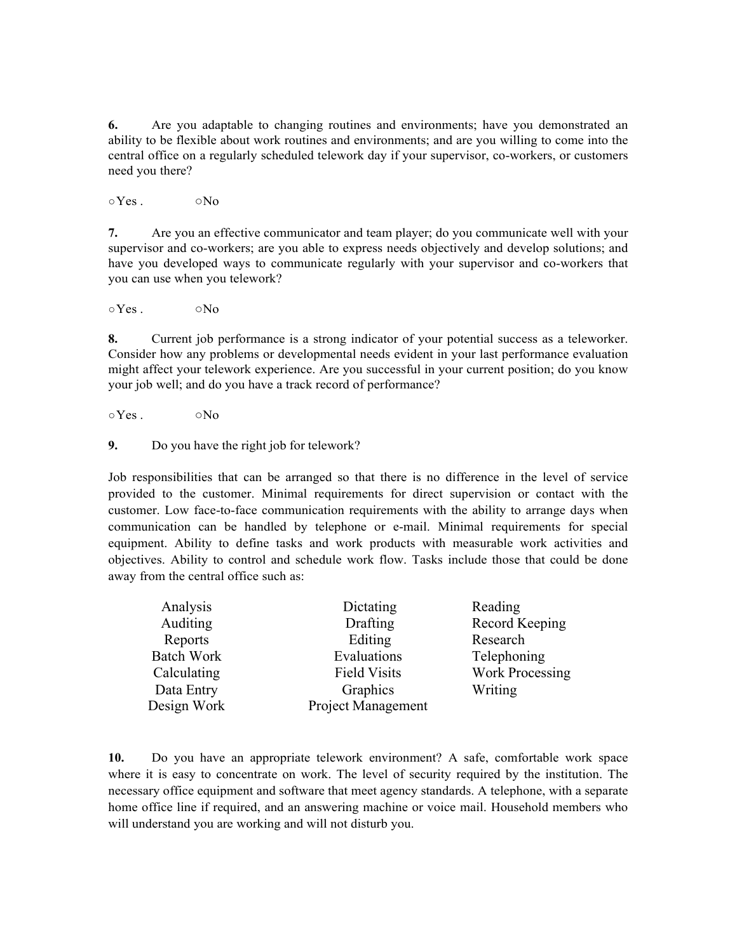**6.** Are you adaptable to changing routines and environments; have you demonstrated an ability to be flexible about work routines and environments; and are you willing to come into the central office on a regularly scheduled telework day if your supervisor, co-workers, or customers need you there?

 $\circ$ Yes .  $\circ$   $\circ$ No

**7.** Are you an effective communicator and team player; do you communicate well with your supervisor and co-workers; are you able to express needs objectively and develop solutions; and have you developed ways to communicate regularly with your supervisor and co-workers that you can use when you telework?

 $\circ$ Yes .  $\circ$   $\circ$  No

**8.** Current job performance is a strong indicator of your potential success as a teleworker. Consider how any problems or developmental needs evident in your last performance evaluation might affect your telework experience. Are you successful in your current position; do you know your job well; and do you have a track record of performance?

 $\circ$ Yes .  $\circ$  No

**9.** Do you have the right job for telework?

Job responsibilities that can be arranged so that there is no difference in the level of service provided to the customer. Minimal requirements for direct supervision or contact with the customer. Low face-to-face communication requirements with the ability to arrange days when communication can be handled by telephone or e-mail. Minimal requirements for special equipment. Ability to define tasks and work products with measurable work activities and objectives. Ability to control and schedule work flow. Tasks include those that could be done away from the central office such as:

| Analysis          | Dictating           | Reading                |
|-------------------|---------------------|------------------------|
| Auditing          | Drafting            | Record Keeping         |
| Reports           | Editing             | Research               |
| <b>Batch Work</b> | Evaluations         | Telephoning            |
| Calculating       | <b>Field Visits</b> | <b>Work Processing</b> |
| Data Entry        | Graphics            | Writing                |
| Design Work       | Project Management  |                        |

**10.** Do you have an appropriate telework environment? A safe, comfortable work space where it is easy to concentrate on work. The level of security required by the institution. The necessary office equipment and software that meet agency standards. A telephone, with a separate home office line if required, and an answering machine or voice mail. Household members who will understand you are working and will not disturb you.